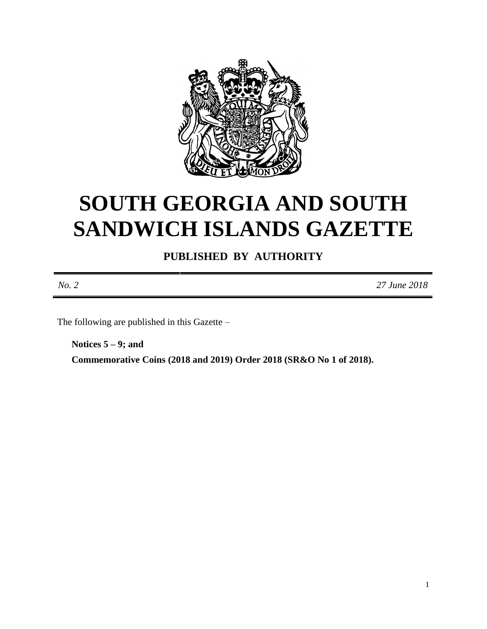

# **SOUTH GEORGIA AND SOUTH SANDWICH ISLANDS GAZETTE**

**PUBLISHED BY AUTHORITY**

*No. 2 27 June 2018*

The following are published in this Gazette –

**Notices 5 – 9; and Commemorative Coins (2018 and 2019) Order 2018 (SR&O No 1 of 2018).**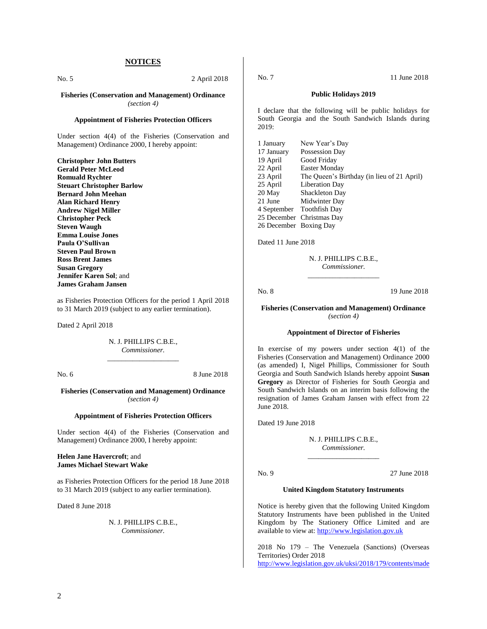#### **NOTICES**

No. 5 2 April 2018

**Fisheries (Conservation and Management) Ordinance** *(section 4)*

#### **Appointment of Fisheries Protection Officers**

Under section 4(4) of the Fisheries (Conservation and Management) Ordinance 2000, I hereby appoint:

**Christopher John Butters Gerald Peter McLeod Romuald Rychter Steuart Christopher Barlow Bernard John Meehan Alan Richard Henry Andrew Nigel Miller Christopher Peck Steven Waugh Emma Louise Jones Paula O'Sullivan Steven Paul Brown Ross Brent James Susan Gregory Jennifer Karen Sol**; and **James Graham Jansen**

as Fisheries Protection Officers for the period 1 April 2018 to 31 March 2019 (subject to any earlier termination).

Dated 2 April 2018

N. J. PHILLIPS C.B.E., *Commissioner.* \_\_\_\_\_\_\_\_\_\_\_\_\_\_\_\_\_\_\_\_

No. 6 8 June 2018

#### **Fisheries (Conservation and Management) Ordinance** *(section 4)*

#### **Appointment of Fisheries Protection Officers**

Under section 4(4) of the Fisheries (Conservation and Management) Ordinance 2000, I hereby appoint:

#### **Helen Jane Havercroft**; and **James Michael Stewart Wake**

as Fisheries Protection Officers for the period 18 June 2018 to 31 March 2019 (subject to any earlier termination).

Dated 8 June 2018

N. J. PHILLIPS C.B.E., *Commissioner.*

No. 7 11 June 2018

#### **Public Holidays 2019**

I declare that the following will be public holidays for South Georgia and the South Sandwich Islands during 2019:

| 1 January              | New Year's Day                             |
|------------------------|--------------------------------------------|
| 17 January             | Possession Day                             |
| 19 April               | Good Friday                                |
| 22 April               | <b>Easter Monday</b>                       |
| 23 April               | The Queen's Birthday (in lieu of 21 April) |
| 25 April               | Liberation Day                             |
| 20 May                 | Shackleton Day                             |
| 21 June                | Midwinter Day                              |
|                        | 4 September Toothfish Day                  |
|                        | 25 December Christmas Day                  |
| 26 December Boxing Day |                                            |

Dated 11 June 2018

N. J. PHILLIPS C.B.E., *Commissioner.* \_\_\_\_\_\_\_\_\_\_\_\_\_\_\_\_\_\_\_\_

No. 8 19 June 2018

**Fisheries (Conservation and Management) Ordinance** *(section 4)*

#### **Appointment of Director of Fisheries**

In exercise of my powers under section 4(1) of the Fisheries (Conservation and Management) Ordinance 2000 (as amended) I, Nigel Phillips, Commissioner for South Georgia and South Sandwich Islands hereby appoint **Susan Gregory** as Director of Fisheries for South Georgia and South Sandwich Islands on an interim basis following the resignation of James Graham Jansen with effect from 22 June 2018.

Dated 19 June 2018

N. J. PHILLIPS C.B.E., *Commissioner.* \_\_\_\_\_\_\_\_\_\_\_\_\_\_\_\_\_\_\_\_

No. 9 27 June 2018

#### **United Kingdom Statutory Instruments**

Notice is hereby given that the following United Kingdom Statutory Instruments have been published in the United Kingdom by The Stationery Office Limited and are available to view at: [http://www.legislation.gov.uk](http://www.legislation.gov.uk/)

2018 No 179 – The Venezuela (Sanctions) (Overseas Territories) Order 2018 <http://www.legislation.gov.uk/uksi/2018/179/contents/made>

2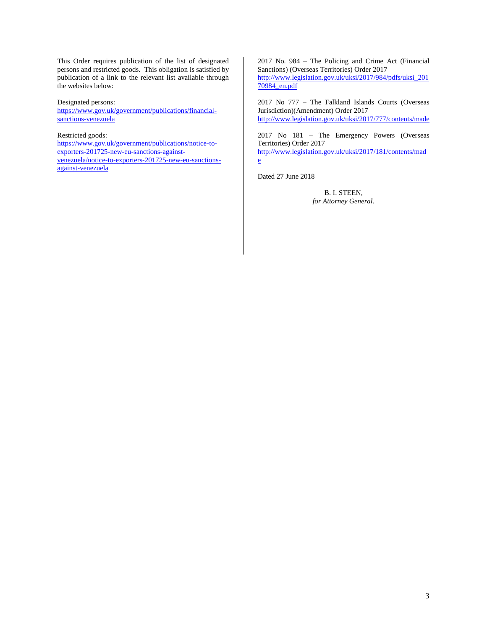This Order requires publication of the list of designated persons and restricted goods. This obligation is satisfied by publication of a link to the relevant list available through the websites below:

#### Designated persons:

[https://www.gov.uk/government/publications/financial](https://www.gov.uk/government/publications/financial-sanctions-venezuela)[sanctions-venezuela](https://www.gov.uk/government/publications/financial-sanctions-venezuela)

#### Restricted goods:

[https://www.gov.uk/government/publications/notice-to](https://www.gov.uk/government/publications/notice-to-exporters-201725-new-eu-sanctions-against-venezuela/notice-to-exporters-201725-new-eu-sanctions-against-venezuela)[exporters-201725-new-eu-sanctions-against](https://www.gov.uk/government/publications/notice-to-exporters-201725-new-eu-sanctions-against-venezuela/notice-to-exporters-201725-new-eu-sanctions-against-venezuela)[venezuela/notice-to-exporters-201725-new-eu-sanctions](https://www.gov.uk/government/publications/notice-to-exporters-201725-new-eu-sanctions-against-venezuela/notice-to-exporters-201725-new-eu-sanctions-against-venezuela)[against-venezuela](https://www.gov.uk/government/publications/notice-to-exporters-201725-new-eu-sanctions-against-venezuela/notice-to-exporters-201725-new-eu-sanctions-against-venezuela)

2017 No. 984 – The Policing and Crime Act (Financial Sanctions) (Overseas Territories) Order 2017 [http://www.legislation.gov.uk/uksi/2017/984/pdfs/uksi\\_201](http://www.legislation.gov.uk/uksi/2017/984/pdfs/uksi_20170984_en.pdf) [70984\\_en.pdf](http://www.legislation.gov.uk/uksi/2017/984/pdfs/uksi_20170984_en.pdf)

2017 No 777 – The Falkland Islands Courts (Overseas Jurisdiction)(Amendment) Order 2017 <http://www.legislation.gov.uk/uksi/2017/777/contents/made>

2017 No 181 – The Emergency Powers (Overseas Territories) Order 2017 [http://www.legislation.gov.uk/uksi/2017/181/contents/mad](http://www.legislation.gov.uk/uksi/2017/181/contents/made)

Dated 27 June 2018

[e](http://www.legislation.gov.uk/uksi/2017/181/contents/made)

B. I. STEEN, *for Attorney General.*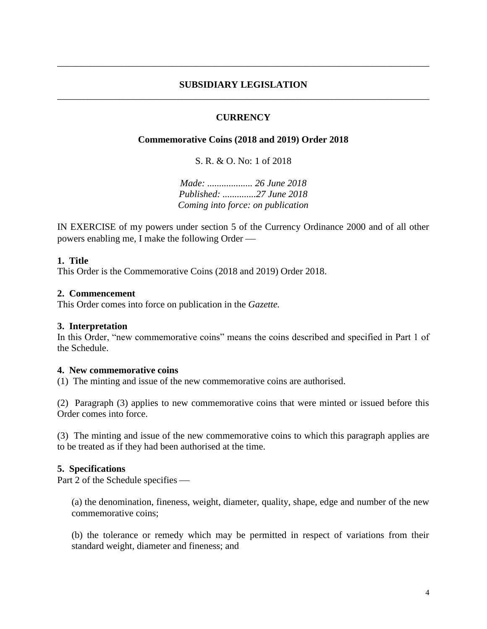## **SUBSIDIARY LEGISLATION** \_\_\_\_\_\_\_\_\_\_\_\_\_\_\_\_\_\_\_\_\_\_\_\_\_\_\_\_\_\_\_\_\_\_\_\_\_\_\_\_\_\_\_\_\_\_\_\_\_\_\_\_\_\_\_\_\_\_\_\_\_\_\_\_\_\_\_\_\_\_\_\_\_\_\_\_\_\_

\_\_\_\_\_\_\_\_\_\_\_\_\_\_\_\_\_\_\_\_\_\_\_\_\_\_\_\_\_\_\_\_\_\_\_\_\_\_\_\_\_\_\_\_\_\_\_\_\_\_\_\_\_\_\_\_\_\_\_\_\_\_\_\_\_\_\_\_\_\_\_\_\_\_\_\_\_\_

## **CURRENCY**

## **Commemorative Coins (2018 and 2019) Order 2018**

S. R. & O. No: 1 of 2018

*Made: ................... 26 June 2018 Published: ..............27 June 2018 Coming into force: on publication*

IN EXERCISE of my powers under section 5 of the Currency Ordinance 2000 and of all other powers enabling me, I make the following Order

#### **1. Title**

This Order is the Commemorative Coins (2018 and 2019) Order 2018.

## **2. Commencement**

This Order comes into force on publication in the *Gazette.*

#### **3. Interpretation**

In this Order, "new commemorative coins" means the coins described and specified in Part 1 of the Schedule.

#### **4. New commemorative coins**

(1) The minting and issue of the new commemorative coins are authorised.

(2) Paragraph (3) applies to new commemorative coins that were minted or issued before this Order comes into force.

(3) The minting and issue of the new commemorative coins to which this paragraph applies are to be treated as if they had been authorised at the time.

#### **5. Specifications**

Part 2 of the Schedule specifies

(a) the denomination, fineness, weight, diameter, quality, shape, edge and number of the new commemorative coins;

(b) the tolerance or remedy which may be permitted in respect of variations from their standard weight, diameter and fineness; and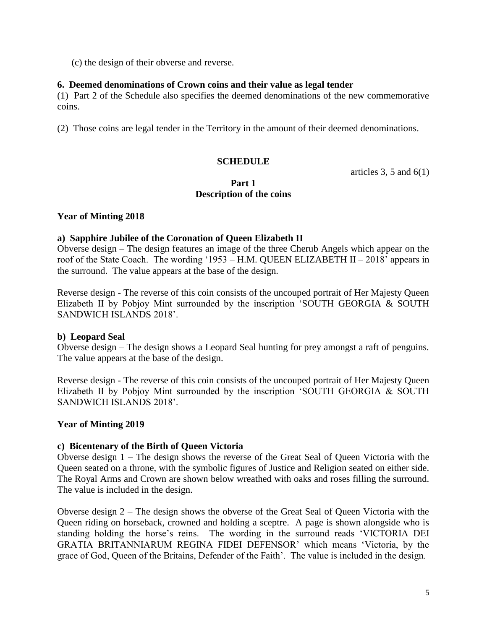(c) the design of their obverse and reverse.

## **6. Deemed denominations of Crown coins and their value as legal tender**

(1) Part 2 of the Schedule also specifies the deemed denominations of the new commemorative coins.

(2) Those coins are legal tender in the Territory in the amount of their deemed denominations.

# **SCHEDULE**

articles 3, 5 and  $6(1)$ 

## **Part 1 Description of the coins**

## **Year of Minting 2018**

## **a) Sapphire Jubilee of the Coronation of Queen Elizabeth II**

Obverse design – The design features an image of the three Cherub Angels which appear on the roof of the State Coach. The wording '1953 – H.M. QUEEN ELIZABETH II – 2018' appears in the surround. The value appears at the base of the design.

Reverse design - The reverse of this coin consists of the uncouped portrait of Her Majesty Queen Elizabeth II by Pobjoy Mint surrounded by the inscription 'SOUTH GEORGIA & SOUTH SANDWICH ISLANDS 2018'.

## **b) Leopard Seal**

Obverse design – The design shows a Leopard Seal hunting for prey amongst a raft of penguins. The value appears at the base of the design.

Reverse design - The reverse of this coin consists of the uncouped portrait of Her Majesty Queen Elizabeth II by Pobjoy Mint surrounded by the inscription 'SOUTH GEORGIA & SOUTH SANDWICH ISLANDS 2018'.

## **Year of Minting 2019**

## **c) Bicentenary of the Birth of Queen Victoria**

Obverse design 1 – The design shows the reverse of the Great Seal of Queen Victoria with the Queen seated on a throne, with the symbolic figures of Justice and Religion seated on either side. The Royal Arms and Crown are shown below wreathed with oaks and roses filling the surround. The value is included in the design.

Obverse design 2 – The design shows the obverse of the Great Seal of Queen Victoria with the Queen riding on horseback, crowned and holding a sceptre. A page is shown alongside who is standing holding the horse's reins. The wording in the surround reads 'VICTORIA DEI GRATIA BRITANNIARUM REGINA FIDEI DEFENSOR' which means 'Victoria, by the grace of God, Queen of the Britains, Defender of the Faith'. The value is included in the design.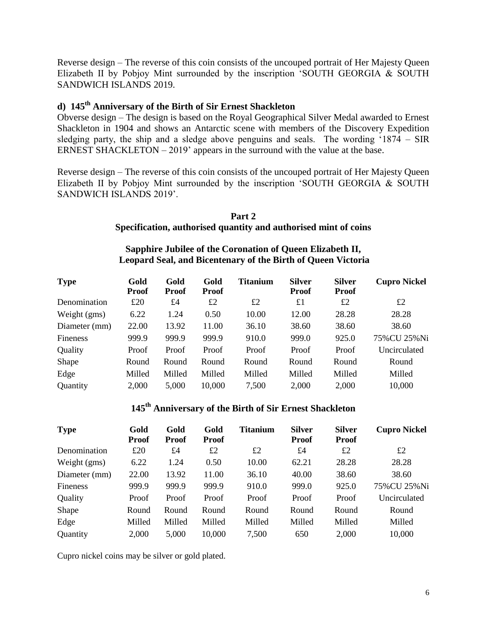Reverse design – The reverse of this coin consists of the uncouped portrait of Her Majesty Queen Elizabeth II by Pobjoy Mint surrounded by the inscription 'SOUTH GEORGIA & SOUTH SANDWICH ISLANDS 2019.

## **d) 145th Anniversary of the Birth of Sir Ernest Shackleton**

Obverse design *–* The design is based on the Royal Geographical Silver Medal awarded to Ernest Shackleton in 1904 and shows an Antarctic scene with members of the Discovery Expedition sledging party, the ship and a sledge above penguins and seals. The wording '1874 – SIR ERNEST SHACKLETON – 2019' appears in the surround with the value at the base.

Reverse design – The reverse of this coin consists of the uncouped portrait of Her Majesty Queen Elizabeth II by Pobjoy Mint surrounded by the inscription 'SOUTH GEORGIA & SOUTH SANDWICH ISLANDS 2019'.

#### **Part 2 Specification, authorised quantity and authorised mint of coins**

# **Sapphire Jubilee of the Coronation of Queen Elizabeth II, Leopard Seal, and Bicentenary of the Birth of Queen Victoria**

| <b>Type</b>   | Gold<br><b>Proof</b> | Gold<br><b>Proof</b> | Gold<br><b>Proof</b> | Titanium | <b>Silver</b><br><b>Proof</b> | <b>Silver</b><br><b>Proof</b> | <b>Cupro Nickel</b> |
|---------------|----------------------|----------------------|----------------------|----------|-------------------------------|-------------------------------|---------------------|
| Denomination  | £20                  | £4                   | £2                   | £2       | $\pounds1$                    | £2                            | £2                  |
| Weight (gms)  | 6.22                 | 1.24                 | 0.50                 | 10.00    | 12.00                         | 28.28                         | 28.28               |
| Diameter (mm) | 22.00                | 13.92                | 11.00                | 36.10    | 38.60                         | 38.60                         | 38.60               |
| Fineness      | 999.9                | 999.9                | 999.9                | 910.0    | 999.0                         | 925.0                         | 75% CU 25% Ni       |
| Quality       | Proof                | Proof                | Proof                | Proof    | Proof                         | Proof                         | Uncirculated        |
| Shape         | Round                | Round                | Round                | Round    | Round                         | Round                         | Round               |
| Edge          | Milled               | Milled               | Milled               | Milled   | Milled                        | Milled                        | Milled              |
| Quantity      | 2,000                | 5,000                | 10,000               | 7,500    | 2,000                         | 2,000                         | 10,000              |

# **145th Anniversary of the Birth of Sir Ernest Shackleton**

| <b>Type</b>   | Gold<br><b>Proof</b> | Gold<br><b>Proof</b> | Gold<br><b>Proof</b> | <b>Titanium</b> | <b>Silver</b><br><b>Proof</b> | <b>Silver</b><br><b>Proof</b> | <b>Cupro Nickel</b> |
|---------------|----------------------|----------------------|----------------------|-----------------|-------------------------------|-------------------------------|---------------------|
| Denomination  | £20                  | £4                   | £2                   | £2              | £4                            | £2                            | £2                  |
| Weight (gms)  | 6.22                 | 1.24                 | 0.50                 | 10.00           | 62.21                         | 28.28                         | 28.28               |
| Diameter (mm) | 22.00                | 13.92                | 11.00                | 36.10           | 40.00                         | 38.60                         | 38.60               |
| Fineness      | 999.9                | 999.9                | 999.9                | 910.0           | 999.0                         | 925.0                         | 75% CU 25% Ni       |
| Quality       | Proof                | Proof                | Proof                | Proof           | Proof                         | Proof                         | Uncirculated        |
| Shape         | Round                | Round                | Round                | Round           | Round                         | Round                         | Round               |
| Edge          | Milled               | Milled               | Milled               | Milled          | Milled                        | Milled                        | Milled              |
| Quantity      | 2,000                | 5,000                | 10,000               | 7,500           | 650                           | 2,000                         | 10,000              |

Cupro nickel coins may be silver or gold plated.